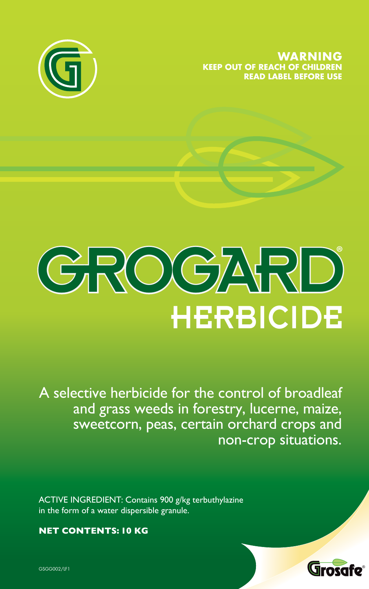**WARNING KEEP OUT OF REACH OF CHILDREN READ LABEL BEFORE USE**





A selective herbicide for the control of broadleaf and grass weeds in forestry, lucerne, maize, sweetcorn, peas, certain orchard crops and non-crop situations.

ACTIVE INGREDIENT: Contains 900 g/kg terbuthylazine in the form of a water dispersible granule.

**NET CONTENTS: 10 KG**



GSGG002/LF1